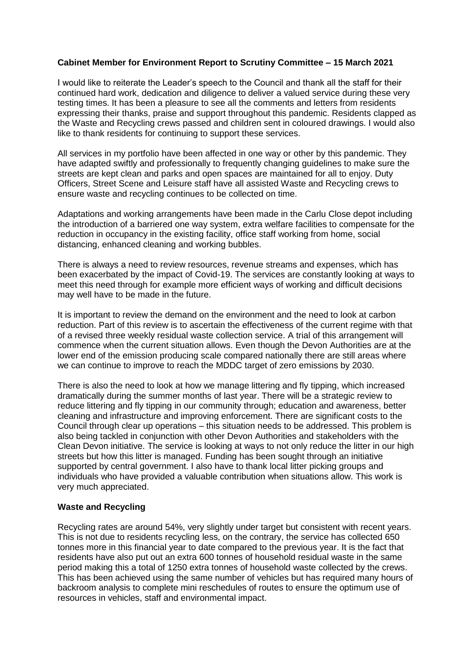#### **Cabinet Member for Environment Report to Scrutiny Committee – 15 March 2021**

I would like to reiterate the Leader's speech to the Council and thank all the staff for their continued hard work, dedication and diligence to deliver a valued service during these very testing times. It has been a pleasure to see all the comments and letters from residents expressing their thanks, praise and support throughout this pandemic. Residents clapped as the Waste and Recycling crews passed and children sent in coloured drawings. I would also like to thank residents for continuing to support these services.

All services in my portfolio have been affected in one way or other by this pandemic. They have adapted swiftly and professionally to frequently changing guidelines to make sure the streets are kept clean and parks and open spaces are maintained for all to enjoy. Duty Officers, Street Scene and Leisure staff have all assisted Waste and Recycling crews to ensure waste and recycling continues to be collected on time.

Adaptations and working arrangements have been made in the Carlu Close depot including the introduction of a barriered one way system, extra welfare facilities to compensate for the reduction in occupancy in the existing facility, office staff working from home, social distancing, enhanced cleaning and working bubbles.

There is always a need to review resources, revenue streams and expenses, which has been exacerbated by the impact of Covid-19. The services are constantly looking at ways to meet this need through for example more efficient ways of working and difficult decisions may well have to be made in the future.

It is important to review the demand on the environment and the need to look at carbon reduction. Part of this review is to ascertain the effectiveness of the current regime with that of a revised three weekly residual waste collection service. A trial of this arrangement will commence when the current situation allows. Even though the Devon Authorities are at the lower end of the emission producing scale compared nationally there are still areas where we can continue to improve to reach the MDDC target of zero emissions by 2030.

There is also the need to look at how we manage littering and fly tipping, which increased dramatically during the summer months of last year. There will be a strategic review to reduce littering and fly tipping in our community through; education and awareness, better cleaning and infrastructure and improving enforcement. There are significant costs to the Council through clear up operations – this situation needs to be addressed. This problem is also being tackled in conjunction with other Devon Authorities and stakeholders with the Clean Devon initiative. The service is looking at ways to not only reduce the litter in our high streets but how this litter is managed. Funding has been sought through an initiative supported by central government. I also have to thank local litter picking groups and individuals who have provided a valuable contribution when situations allow. This work is very much appreciated.

#### **Waste and Recycling**

Recycling rates are around 54%, very slightly under target but consistent with recent years. This is not due to residents recycling less, on the contrary, the service has collected 650 tonnes more in this financial year to date compared to the previous year. It is the fact that residents have also put out an extra 600 tonnes of household residual waste in the same period making this a total of 1250 extra tonnes of household waste collected by the crews. This has been achieved using the same number of vehicles but has required many hours of backroom analysis to complete mini reschedules of routes to ensure the optimum use of resources in vehicles, staff and environmental impact.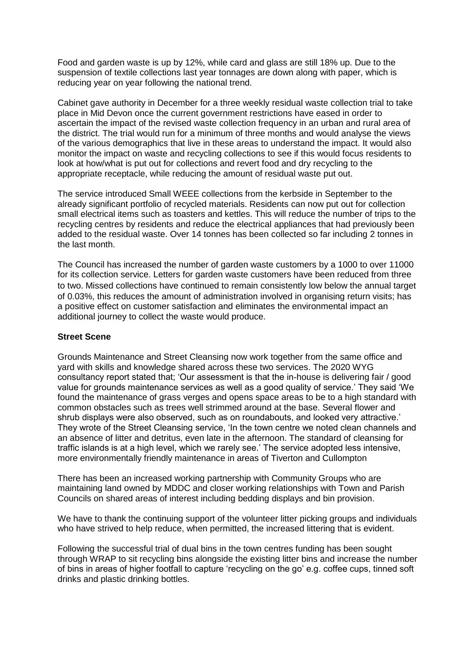Food and garden waste is up by 12%, while card and glass are still 18% up. Due to the suspension of textile collections last year tonnages are down along with paper, which is reducing year on year following the national trend.

Cabinet gave authority in December for a three weekly residual waste collection trial to take place in Mid Devon once the current government restrictions have eased in order to ascertain the impact of the revised waste collection frequency in an urban and rural area of the district. The trial would run for a minimum of three months and would analyse the views of the various demographics that live in these areas to understand the impact. It would also monitor the impact on waste and recycling collections to see if this would focus residents to look at how/what is put out for collections and revert food and dry recycling to the appropriate receptacle, while reducing the amount of residual waste put out.

The service introduced Small WEEE collections from the kerbside in September to the already significant portfolio of recycled materials. Residents can now put out for collection small electrical items such as toasters and kettles. This will reduce the number of trips to the recycling centres by residents and reduce the electrical appliances that had previously been added to the residual waste. Over 14 tonnes has been collected so far including 2 tonnes in the last month.

The Council has increased the number of garden waste customers by a 1000 to over 11000 for its collection service. Letters for garden waste customers have been reduced from three to two. Missed collections have continued to remain consistently low below the annual target of 0.03%, this reduces the amount of administration involved in organising return visits; has a positive effect on customer satisfaction and eliminates the environmental impact an additional journey to collect the waste would produce.

#### **Street Scene**

Grounds Maintenance and Street Cleansing now work together from the same office and yard with skills and knowledge shared across these two services. The 2020 WYG consultancy report stated that; 'Our assessment is that the in-house is delivering fair / good value for grounds maintenance services as well as a good quality of service.' They said 'We found the maintenance of grass verges and opens space areas to be to a high standard with common obstacles such as trees well strimmed around at the base. Several flower and shrub displays were also observed, such as on roundabouts, and looked very attractive.' They wrote of the Street Cleansing service, 'In the town centre we noted clean channels and an absence of litter and detritus, even late in the afternoon. The standard of cleansing for traffic islands is at a high level, which we rarely see.' The service adopted less intensive, more environmentally friendly maintenance in areas of Tiverton and Cullompton

There has been an increased working partnership with Community Groups who are maintaining land owned by MDDC and closer working relationships with Town and Parish Councils on shared areas of interest including bedding displays and bin provision.

We have to thank the continuing support of the volunteer litter picking groups and individuals who have strived to help reduce, when permitted, the increased littering that is evident.

Following the successful trial of dual bins in the town centres funding has been sought through WRAP to sit recycling bins alongside the existing litter bins and increase the number of bins in areas of higher footfall to capture 'recycling on the go' e.g. coffee cups, tinned soft drinks and plastic drinking bottles.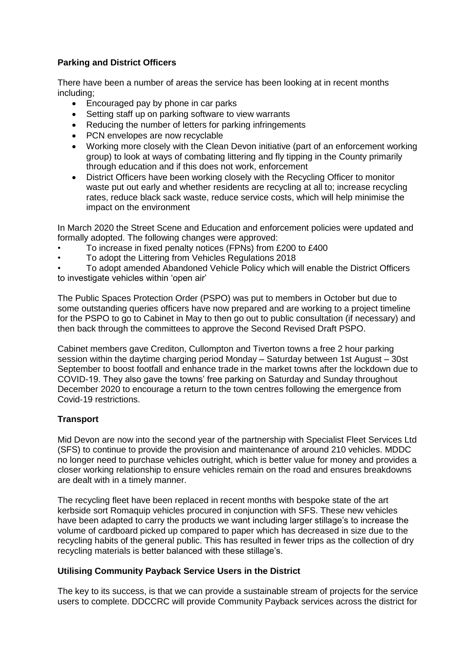# **Parking and District Officers**

There have been a number of areas the service has been looking at in recent months including;

- Encouraged pay by phone in car parks
- Setting staff up on parking software to view warrants
- Reducing the number of letters for parking infringements
- PCN envelopes are now recyclable
- Working more closely with the Clean Devon initiative (part of an enforcement working group) to look at ways of combating littering and fly tipping in the County primarily through education and if this does not work, enforcement
- District Officers have been working closely with the Recycling Officer to monitor waste put out early and whether residents are recycling at all to; increase recycling rates, reduce black sack waste, reduce service costs, which will help minimise the impact on the environment

In March 2020 the Street Scene and Education and enforcement policies were updated and formally adopted. The following changes were approved:

- To increase in fixed penalty notices (FPNs) from £200 to £400
- To adopt the Littering from Vehicles Regulations 2018

• To adopt amended Abandoned Vehicle Policy which will enable the District Officers to investigate vehicles within 'open air'

The Public Spaces Protection Order (PSPO) was put to members in October but due to some outstanding queries officers have now prepared and are working to a project timeline for the PSPO to go to Cabinet in May to then go out to public consultation (if necessary) and then back through the committees to approve the Second Revised Draft PSPO.

Cabinet members gave Crediton, Cullompton and Tiverton towns a free 2 hour parking session within the daytime charging period Monday – Saturday between 1st August – 30st September to boost footfall and enhance trade in the market towns after the lockdown due to COVID-19. They also gave the towns' free parking on Saturday and Sunday throughout December 2020 to encourage a return to the town centres following the emergence from Covid-19 restrictions.

# **Transport**

Mid Devon are now into the second year of the partnership with Specialist Fleet Services Ltd (SFS) to continue to provide the provision and maintenance of around 210 vehicles. MDDC no longer need to purchase vehicles outright, which is better value for money and provides a closer working relationship to ensure vehicles remain on the road and ensures breakdowns are dealt with in a timely manner.

The recycling fleet have been replaced in recent months with bespoke state of the art kerbside sort Romaquip vehicles procured in conjunction with SFS. These new vehicles have been adapted to carry the products we want including larger stillage's to increase the volume of cardboard picked up compared to paper which has decreased in size due to the recycling habits of the general public. This has resulted in fewer trips as the collection of dry recycling materials is better balanced with these stillage's.

# **Utilising Community Payback Service Users in the District**

The key to its success, is that we can provide a sustainable stream of projects for the service users to complete. DDCCRC will provide Community Payback services across the district for